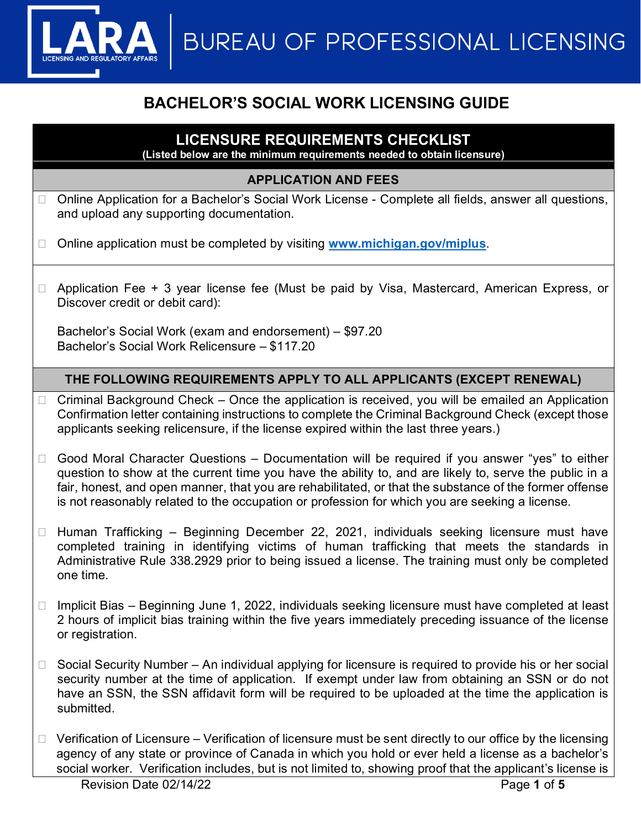**BUREAU OF PROFESSIONAL LICENSING** 

# **BACHELOR'S SOCIAL WORK LICENSING GUIDE**

# **LICENSURE REQUIREMENTS CHECKLIST**

**(Listed below are the minimum requirements needed to obtain licensure)**

### **APPLICATION AND FEES**

- □ Online Application for a Bachelor's Social Work License Complete all fields, answer all questions, and upload any supporting documentation.
- □ Online application must be completed by visiting [www.michigan.gov/miplus](http://www.michigan.gov/miplus).
- □ Application Fee + 3 year license fee (Must be paid by Visa, Mastercard, American Express, or Discover credit or debit card):

Bachelor's Social Work (exam and endorsement) – \$97.20 Bachelor's Social Work Relicensure – \$117.20

## **THE FOLLOWING REQUIREMENTS APPLY TO ALL APPLICANTS (EXCEPT RENEWAL)**

- $\Box$  Criminal Background Check Once the application is received, you will be emailed an Application Confirmation letter containing instructions to complete the Criminal Background Check (except those applicants seeking relicensure, if the license expired within the last three years.)
- $\Box$  Good Moral Character Questions Documentation will be required if you answer "yes" to either question to show at the current time you have the ability to, and are likely to, serve the public in a fair, honest, and open manner, that you are rehabilitated, or that the substance of the former offense is not reasonably related to the occupation or profession for which you are seeking a license.
- $\Box$  Human Trafficking Beginning December 22, 2021, individuals seeking licensure must have completed training in identifying victims of human trafficking that meets the standards in Administrative Rule 338.2929 prior to being issued a license. The training must only be completed one time.
- $\Box$  Implicit Bias Beginning June 1, 2022, individuals seeking licensure must have completed at least 2 hours of implicit bias training within the five years immediately preceding issuance of the license or registration.
- $\Box$  Social Security Number An individual applying for licensure is required to provide his or her social security number at the time of application. If exempt under law from obtaining an SSN or do not have an SSN, the SSN affidavit form will be required to be uploaded at the time the application is submitted.
- $\Box$  Verification of Licensure Verification of licensure must be sent directly to our office by the licensing agency of any state or province of Canada in which you hold or ever held a license as a bachelor's social worker. Verification includes, but is not limited to, showing proof that the applicant's license is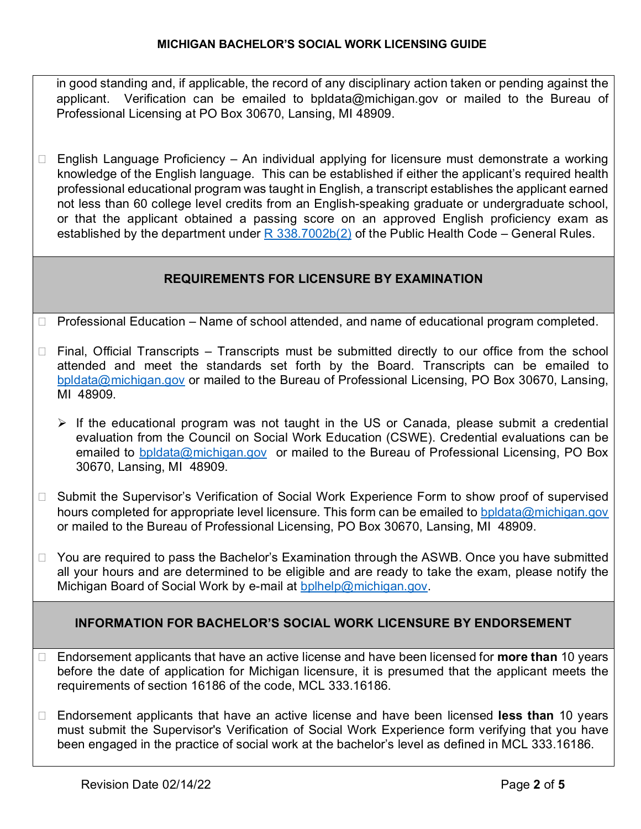in good standing and, if applicable, the record of any disciplinary action taken or pending against the applicant. Verification can be emailed to bpldata@michigan.gov or mailed to the Bureau of Professional Licensing at PO Box 30670, Lansing, MI 48909.

 $\Box$  English Language Proficiency – An individual applying for licensure must demonstrate a working knowledge of the English language. This can be established if either the applicant's required health professional educational program was taught in English, a transcript establishes the applicant earned not less than 60 college level credits from an English-speaking graduate or undergraduate school, or that the applicant obtained a passing score on an approved English proficiency exam as established by the department under  $R$  338.7002b(2) of the Public Health Code – General Rules.

### **REQUIREMENTS FOR LICENSURE BY EXAMINATION**

- $\Box$  Professional Education Name of school attended, and name of educational program completed.
- $\Box$  Final, Official Transcripts Transcripts must be submitted directly to our office from the school attended and meet the standards set forth by the Board. Transcripts can be emailed to [bpldata@michigan.gov](mailto:bpldata@michigan.gov) or mailed to the Bureau of Professional Licensing, PO Box 30670, Lansing, MI 48909.
	- $\triangleright$  If the educational program was not taught in the US or Canada, please submit a credential evaluation from the Council on Social Work Education (CSWE). Credential evaluations can be emailed to [bpldata@michigan.gov](mailto:bpldata@michigan.gov) or mailed to the Bureau of Professional Licensing, PO Box 30670, Lansing, MI 48909.
- □ Submit the Supervisor's Verification of Social Work Experience Form to show proof of supervised hours completed for appropriate level licensure. This form can be emailed to [bpldata@michigan.gov](mailto:bpldata@michigan.gov) or mailed to the Bureau of Professional Licensing, PO Box 30670, Lansing, MI 48909.
- $\Box$  You are required to pass the Bachelor's Examination through the ASWB. Once you have submitted all your hours and are determined to be eligible and are ready to take the exam, please notify the Michigan Board of Social Work by e-mail at [bplhelp@michigan.gov.](mailto:bplhelp@michigan.gov)

### **INFORMATION FOR BACHELOR'S SOCIAL WORK LICENSURE BY ENDORSEMENT**

- Endorsement applicants that have an active license and have been licensed for **more than** 10 years before the date of application for Michigan licensure, it is presumed that the applicant meets the requirements of section 16186 of the code, MCL 333.16186.
- Endorsement applicants that have an active license and have been licensed **less than** 10 years must submit the Supervisor's Verification of Social Work Experience form verifying that you have been engaged in the practice of social work at the bachelor's level as defined in MCL 333.16186.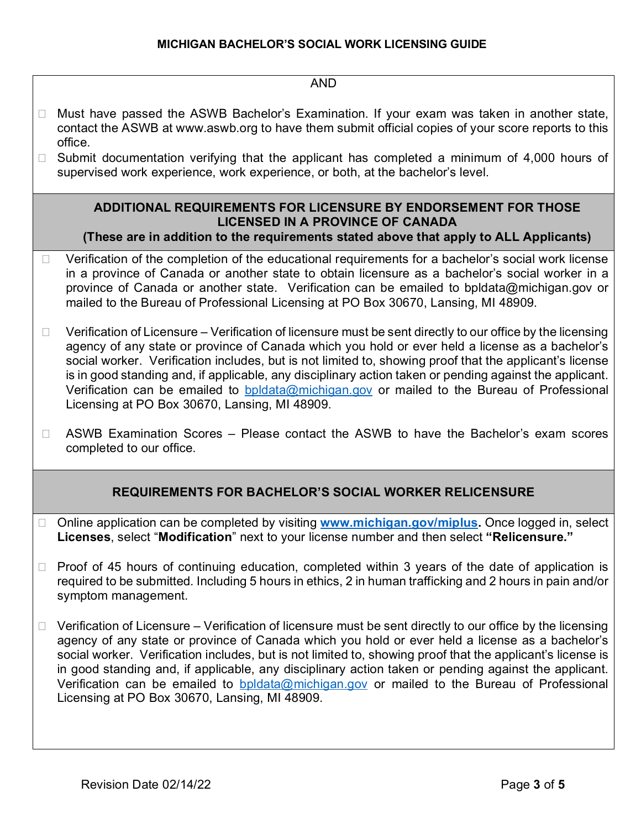#### AND

- □ Must have passed the ASWB Bachelor's Examination. If your exam was taken in another state, contact the ASWB at www.aswb.org to have them submit official copies of your score reports to this office.
- $\Box$  Submit documentation verifying that the applicant has completed a minimum of 4,000 hours of supervised work experience, work experience, or both, at the bachelor's level.

### **ADDITIONAL REQUIREMENTS FOR LICENSURE BY ENDORSEMENT FOR THOSE LICENSED IN A PROVINCE OF CANADA**

- **(These are in addition to the requirements stated above that apply to ALL Applicants)**
- $\Box$  Verification of the completion of the educational requirements for a bachelor's social work license in a province of Canada or another state to obtain licensure as a bachelor's social worker in a province of Canada or another state. Verification can be emailed to bpldata@michigan.gov or mailed to the Bureau of Professional Licensing at PO Box 30670, Lansing, MI 48909.
- $\Box$  Verification of Licensure Verification of licensure must be sent directly to our office by the licensing agency of any state or province of Canada which you hold or ever held a license as a bachelor's social worker. Verification includes, but is not limited to, showing proof that the applicant's license is in good standing and, if applicable, any disciplinary action taken or pending against the applicant. Verification can be emailed to [bpldata@michigan.gov](mailto:bpldata@michigan.gov) or mailed to the Bureau of Professional Licensing at PO Box 30670, Lansing, MI 48909.
- $\Box$  ASWB Examination Scores Please contact the ASWB to have the Bachelor's exam scores completed to our office.

### **REQUIREMENTS FOR BACHELOR'S SOCIAL WORKER RELICENSURE**

- □ Online application can be completed by visiting **www.michigan.gov/miplus**. Once logged in, select **Licenses**, select "**Modification**" next to your license number and then select **"Relicensure."**
- $\Box$  Proof of 45 hours of continuing education, completed within 3 years of the date of application is required to be submitted. Including 5 hours in ethics, 2 in human trafficking and 2 hours in pain and/or symptom management.
- $\Box$  Verification of Licensure Verification of licensure must be sent directly to our office by the licensing agency of any state or province of Canada which you hold or ever held a license as a bachelor's social worker. Verification includes, but is not limited to, showing proof that the applicant's license is in good standing and, if applicable, any disciplinary action taken or pending against the applicant. Verification can be emailed to [bpldata@michigan.gov](mailto:bpldata@michigan.gov) or mailed to the Bureau of Professional Licensing at PO Box 30670, Lansing, MI 48909.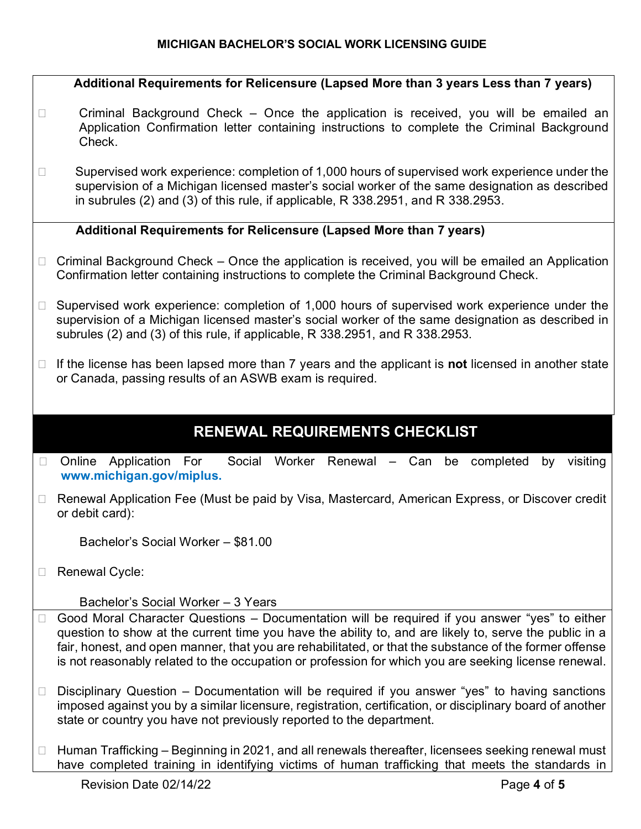#### **MICHIGAN BACHELOR'S SOCIAL WORK LICENSING GUIDE**

**Additional Requirements for Relicensure (Lapsed More than 3 years Less than 7 years)**  $\Box$  Criminal Background Check – Once the application is received, you will be emailed an Application Confirmation letter containing instructions to complete the Criminal Background Check.  $\Box$  Supervised work experience: completion of 1,000 hours of supervised work experience under the supervision of a Michigan licensed master's social worker of the same designation as described in subrules (2) and (3) of this rule, if applicable, R 338.2951, and R 338.2953. **Additional Requirements for Relicensure (Lapsed More than 7 years)**   $\Box$  Criminal Background Check – Once the application is received, you will be emailed an Application Confirmation letter containing instructions to complete the Criminal Background Check.  $\Box$  Supervised work experience: completion of 1,000 hours of supervised work experience under the supervision of a Michigan licensed master's social worker of the same designation as described in subrules (2) and (3) of this rule, if applicable, R 338.2951, and R 338.2953. If the license has been lapsed more than 7 years and the applicant is **not** licensed in another state or Canada, passing results of an ASWB exam is required. **RENEWAL REQUIREMENTS CHECKLIST** □ Online Application For Social Worker Renewal – Can be completed by visiting **www.michigan.gov/miplus.** □ Renewal Application Fee (Must be paid by Visa, Mastercard, American Express, or Discover credit or debit card): Bachelor's Social Worker – \$81.00 □ Renewal Cycle: Bachelor's Social Worker – 3 Years  $\Box$  Good Moral Character Questions – Documentation will be required if you answer "yes" to either question to show at the current time you have the ability to, and are likely to, serve the public in a fair, honest, and open manner, that you are rehabilitated, or that the substance of the former offense is not reasonably related to the occupation or profession for which you are seeking license renewal.  $\Box$  Disciplinary Question – Documentation will be required if you answer "yes" to having sanctions imposed against you by a similar licensure, registration, certification, or disciplinary board of another state or country you have not previously reported to the department.  $\Box$  Human Trafficking – Beginning in 2021, and all renewals thereafter, licensees seeking renewal must have completed training in identifying victims of human trafficking that meets the standards in